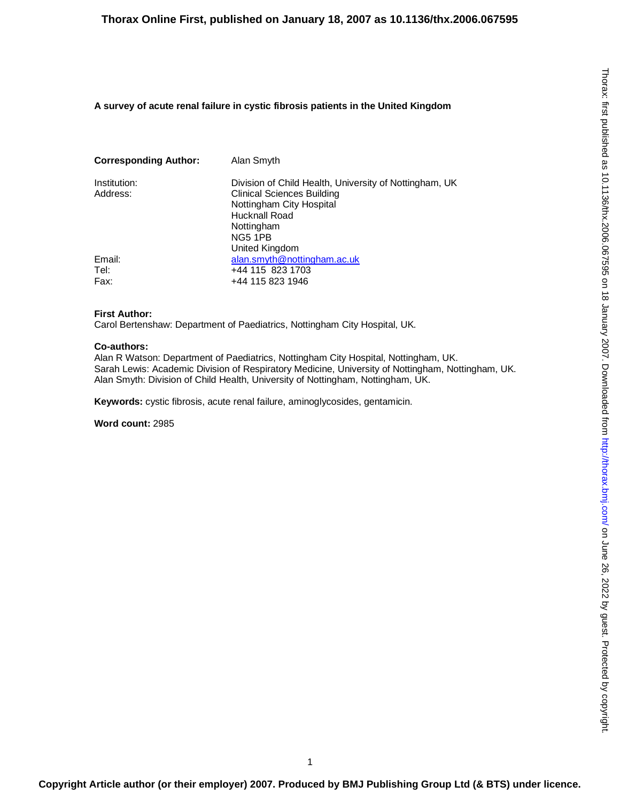# **A survey of acute renal failure in cystic fibrosis patients in the United Kingdom**

| <b>Corresponding Author:</b> | Alan Smyth                                                                                                                                                                          |
|------------------------------|-------------------------------------------------------------------------------------------------------------------------------------------------------------------------------------|
| Institution:<br>Address:     | Division of Child Health, University of Nottingham, UK<br><b>Clinical Sciences Building</b><br>Nottingham City Hospital<br>Hucknall Road<br>Nottingham<br>NG5 1PB<br>United Kingdom |
| Email:<br>Tel:<br>Fax:       | alan.smyth@nottingham.ac.uk<br>+44 115 823 1703<br>+44 115 823 1946                                                                                                                 |

# **First Author:**

Carol Bertenshaw: Department of Paediatrics, Nottingham City Hospital, UK.

# **Co-authors:**

Alan R Watson: Department of Paediatrics, Nottingham City Hospital, Nottingham, UK. Sarah Lewis: Academic Division of Respiratory Medicine, University of Nottingham, Nottingham, UK. Alan Smyth: Division of Child Health, University of Nottingham, Nottingham, UK.

**Keywords:** cystic fibrosis, acute renal failure, aminoglycosides, gentamicin.

**Word count:** 2985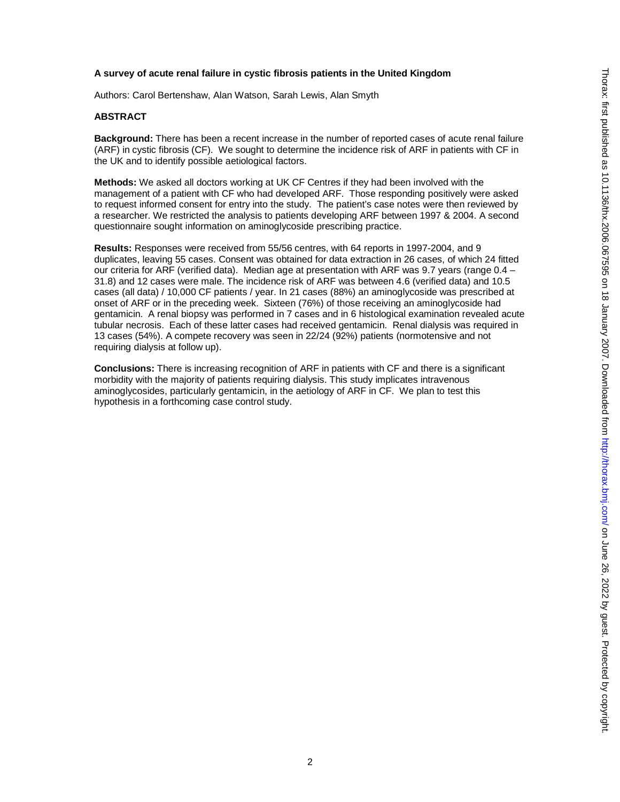# **A survey of acute renal failure in cystic fibrosis patients in the United Kingdom**

Authors: Carol Bertenshaw, Alan Watson, Sarah Lewis, Alan Smyth

## **ABSTRACT**

**Background:** There has been a recent increase in the number of reported cases of acute renal failure (ARF) in cystic fibrosis (CF). We sought to determine the incidence risk of ARF in patients with CF in the UK and to identify possible aetiological factors.

**Methods:** We asked all doctors working at UK CF Centres if they had been involved with the management of a patient with CF who had developed ARF. Those responding positively were asked to request informed consent for entry into the study. The patient's case notes were then reviewed by a researcher. We restricted the analysis to patients developing ARF between 1997 & 2004. A second questionnaire sought information on aminoglycoside prescribing practice.

**Results:** Responses were received from 55/56 centres, with 64 reports in 1997-2004, and 9 duplicates, leaving 55 cases. Consent was obtained for data extraction in 26 cases, of which 24 fitted our criteria for ARF (verified data). Median age at presentation with ARF was 9.7 years (range 0.4 – 31.8) and 12 cases were male. The incidence risk of ARF was between 4.6 (verified data) and 10.5 cases (all data) / 10,000 CF patients / year. In 21 cases (88%) an aminoglycoside was prescribed at onset of ARF or in the preceding week. Sixteen (76%) of those receiving an aminoglycoside had gentamicin. A renal biopsy was performed in 7 cases and in 6 histological examination revealed acute tubular necrosis. Each of these latter cases had received gentamicin. Renal dialysis was required in 13 cases (54%). A compete recovery was seen in 22/24 (92%) patients (normotensive and not requiring dialysis at follow up).

**Conclusions:** There is increasing recognition of ARF in patients with CF and there is a significant morbidity with the majority of patients requiring dialysis. This study implicates intravenous aminoglycosides, particularly gentamicin, in the aetiology of ARF in CF. We plan to test this hypothesis in a forthcoming case control study.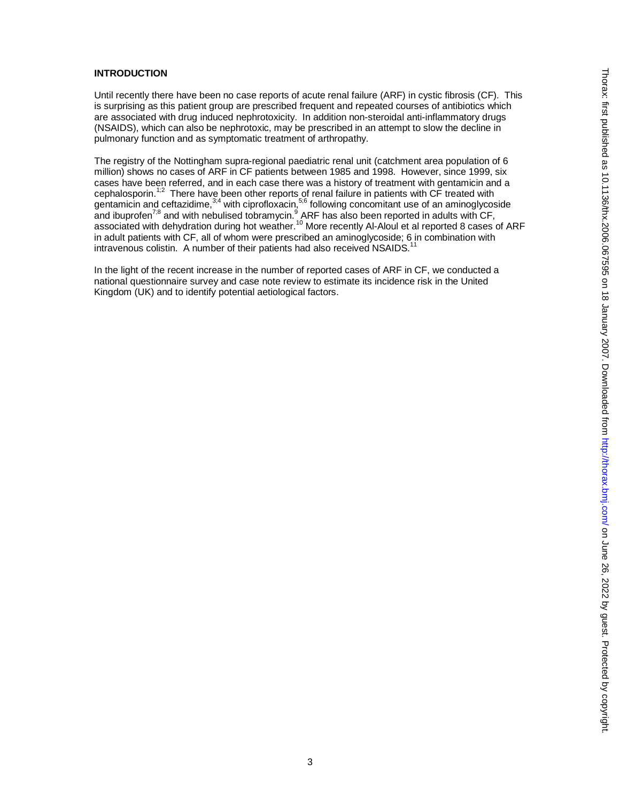# **INTRODUCTION**

Until recently there have been no case reports of acute renal failure (ARF) in cystic fibrosis (CF). This is surprising as this patient group are prescribed frequent and repeated courses of antibiotics which are associated with drug induced nephrotoxicity. In addition non-steroidal anti-inflammatory drugs (NSAIDS), which can also be nephrotoxic, may be prescribed in an attempt to slow the decline in pulmonary function and as symptomatic treatment of arthropathy.

The registry of the Nottingham supra-regional paediatric renal unit (catchment area population of 6 million) shows no cases of ARF in CF patients between 1985 and 1998. However, since 1999, six cases have been referred, and in each case there was a history of treatment with gentamicin and a cephalosporin.<sup>1;2</sup> There have been other reports of renal failure in patients with CF treated with gentamicin and ceftazidime,  $3,4$  with ciprofloxacin,  $5,6$  following concomitant use of an aminoglycoside and ibuprofen<sup>7,8</sup> and with nebulised tobramycin.<sup>9</sup> ARF has also been reported in adults with CF, associated with dehydration during hot weather.<sup>10</sup> More recently Al-Aloul et al reported 8 cases of ARF in adult patients with CF, all of whom were prescribed an aminoglycoside; 6 in combination with intravenous colistin. A number of their patients had also received NSAIDS.<sup>11</sup>

In the light of the recent increase in the number of reported cases of ARF in CF, we conducted a national questionnaire survey and case note review to estimate its incidence risk in the United Kingdom (UK) and to identify potential aetiological factors.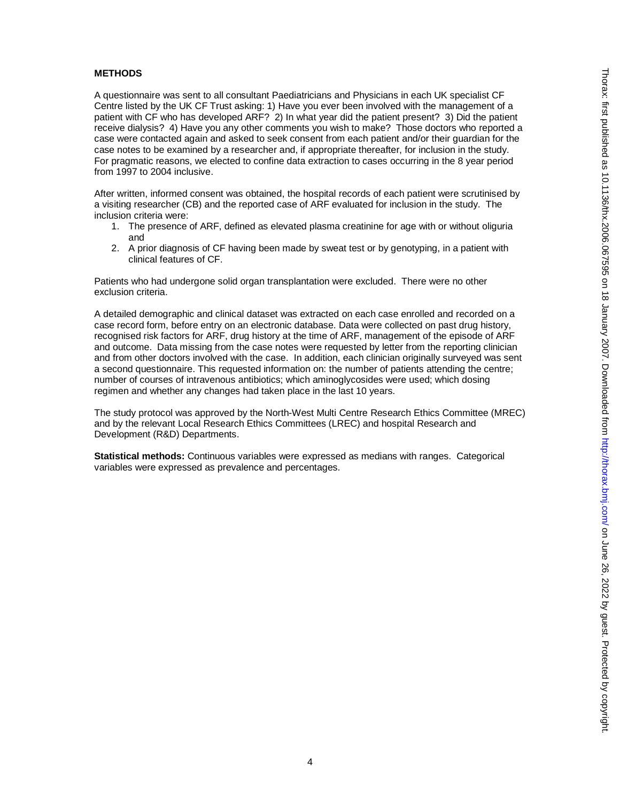## **METHODS**

A questionnaire was sent to all consultant Paediatricians and Physicians in each UK specialist CF Centre listed by the UK CF Trust asking: 1) Have you ever been involved with the management of a patient with CF who has developed ARF? 2) In what year did the patient present? 3) Did the patient receive dialysis? 4) Have you any other comments you wish to make? Those doctors who reported a case were contacted again and asked to seek consent from each patient and/or their guardian for the case notes to be examined by a researcher and, if appropriate thereafter, for inclusion in the study. For pragmatic reasons, we elected to confine data extraction to cases occurring in the 8 year period from 1997 to 2004 inclusive.

After written, informed consent was obtained, the hospital records of each patient were scrutinised by a visiting researcher (CB) and the reported case of ARF evaluated for inclusion in the study. The inclusion criteria were:

- 1. The presence of ARF, defined as elevated plasma creatinine for age with or without oliguria and
- 2. A prior diagnosis of CF having been made by sweat test or by genotyping, in a patient with clinical features of CF.

Patients who had undergone solid organ transplantation were excluded. There were no other exclusion criteria.

A detailed demographic and clinical dataset was extracted on each case enrolled and recorded on a case record form, before entry on an electronic database. Data were collected on past drug history, recognised risk factors for ARF, drug history at the time of ARF, management of the episode of ARF and outcome. Data missing from the case notes were requested by letter from the reporting clinician and from other doctors involved with the case. In addition, each clinician originally surveyed was sent a second questionnaire. This requested information on: the number of patients attending the centre; number of courses of intravenous antibiotics; which aminoglycosides were used; which dosing regimen and whether any changes had taken place in the last 10 years.

The study protocol was approved by the North-West Multi Centre Research Ethics Committee (MREC) and by the relevant Local Research Ethics Committees (LREC) and hospital Research and Development (R&D) Departments.

**Statistical methods:** Continuous variables were expressed as medians with ranges. Categorical variables were expressed as prevalence and percentages.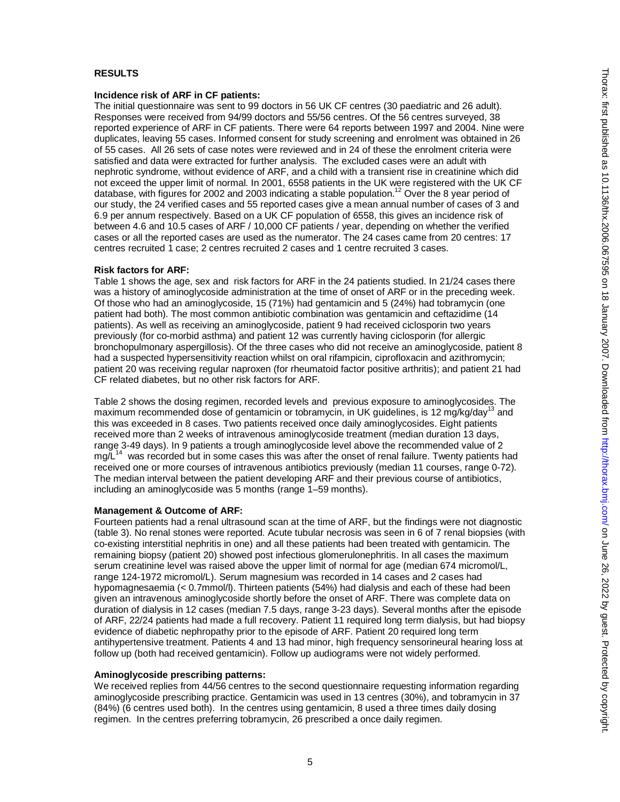## **RESULTS**

# **Incidence risk of ARF in CF patients:**

The initial questionnaire was sent to 99 doctors in 56 UK CF centres (30 paediatric and 26 adult). Responses were received from 94/99 doctors and 55/56 centres. Of the 56 centres surveyed, 38 reported experience of ARF in CF patients. There were 64 reports between 1997 and 2004. Nine were duplicates, leaving 55 cases. Informed consent for study screening and enrolment was obtained in 26 of 55 cases. All 26 sets of case notes were reviewed and in 24 of these the enrolment criteria were satisfied and data were extracted for further analysis. The excluded cases were an adult with nephrotic syndrome, without evidence of ARF, and a child with a transient rise in creatinine which did not exceed the upper limit of normal. In 2001, 6558 patients in the UK were registered with the UK CF database, with figures for 2002 and 2003 indicating a stable population.<sup>12</sup> Over the 8 year period of our study, the 24 verified cases and 55 reported cases give a mean annual number of cases of 3 and 6.9 per annum respectively. Based on a UK CF population of 6558, this gives an incidence risk of between 4.6 and 10.5 cases of ARF / 10,000 CF patients / year, depending on whether the verified cases or all the reported cases are used as the numerator. The 24 cases came from 20 centres: 17 centres recruited 1 case; 2 centres recruited 2 cases and 1 centre recruited 3 cases.

#### **Risk factors for ARF:**

Table 1 shows the age, sex and risk factors for ARF in the 24 patients studied. In 21/24 cases there was a history of aminoglycoside administration at the time of onset of ARF or in the preceding week. Of those who had an aminoglycoside, 15 (71%) had gentamicin and 5 (24%) had tobramycin (one patient had both). The most common antibiotic combination was gentamicin and ceftazidime (14 patients). As well as receiving an aminoglycoside, patient 9 had received ciclosporin two years previously (for co-morbid asthma) and patient 12 was currently having ciclosporin (for allergic bronchopulmonary aspergillosis). Of the three cases who did not receive an aminoglycoside, patient 8 had a suspected hypersensitivity reaction whilst on oral rifampicin, ciprofloxacin and azithromycin; patient 20 was receiving regular naproxen (for rheumatoid factor positive arthritis); and patient 21 had CF related diabetes, but no other risk factors for ARF.

Table 2 shows the dosing regimen, recorded levels and previous exposure to aminoglycosides. The maximum recommended dose of gentamicin or tobramycin, in UK guidelines, is 12 mg/kg/day<sup>13</sup> and this was exceeded in 8 cases. Two patients received once daily aminoglycosides. Eight patients received more than 2 weeks of intravenous aminoglycoside treatment (median duration 13 days, range 3-49 days). In 9 patients a trough aminoglycoside level above the recommended value of 2  $mg/L<sup>14</sup>$  was recorded but in some cases this was after the onset of renal failure. Twenty patients had received one or more courses of intravenous antibiotics previously (median 11 courses, range 0-72). The median interval between the patient developing ARF and their previous course of antibiotics, including an aminoglycoside was 5 months (range 1–59 months).

#### **Management & Outcome of ARF:**

Fourteen patients had a renal ultrasound scan at the time of ARF, but the findings were not diagnostic (table 3). No renal stones were reported. Acute tubular necrosis was seen in 6 of 7 renal biopsies (with co-existing interstitial nephritis in one) and all these patients had been treated with gentamicin. The remaining biopsy (patient 20) showed post infectious glomerulonephritis. In all cases the maximum serum creatinine level was raised above the upper limit of normal for age (median 674 micromol/L, range 124-1972 micromol/L). Serum magnesium was recorded in 14 cases and 2 cases had hypomagnesaemia (< 0.7mmol/l). Thirteen patients (54%) had dialysis and each of these had been given an intravenous aminoglycoside shortly before the onset of ARF. There was complete data on duration of dialysis in 12 cases (median 7.5 days, range 3-23 days). Several months after the episode of ARF, 22/24 patients had made a full recovery. Patient 11 required long term dialysis, but had biopsy evidence of diabetic nephropathy prior to the episode of ARF. Patient 20 required long term antihypertensive treatment. Patients 4 and 13 had minor, high frequency sensorineural hearing loss at follow up (both had received gentamicin). Follow up audiograms were not widely performed.

### **Aminoglycoside prescribing patterns:**

We received replies from  $44/56$  centres to the second questionnaire requesting information regarding aminoglycoside prescribing practice. Gentamicin was used in 13 centres (30%), and tobramycin in 37 (84%) (6 centres used both). In the centres using gentamicin, 8 used a three times daily dosing regimen. In the centres preferring tobramycin, 26 prescribed a once daily regimen.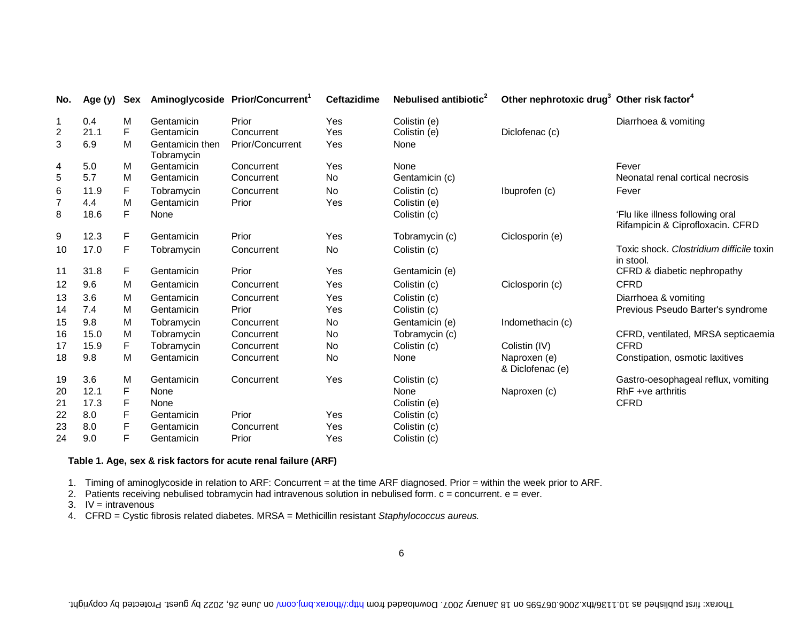| No.            | Age (y) | Sex |                               | Aminoglycoside Prior/Concurrent <sup>1</sup> | Ceftazidime | Nebulised antibiotic <sup>2</sup> | Other nephrotoxic drug <sup>3</sup> Other risk factor <sup>4</sup> |                                                                      |
|----------------|---------|-----|-------------------------------|----------------------------------------------|-------------|-----------------------------------|--------------------------------------------------------------------|----------------------------------------------------------------------|
|                | 0.4     | M   | Gentamicin                    | Prior                                        | Yes         | Colistin (e)                      |                                                                    | Diarrhoea & vomiting                                                 |
| $\overline{c}$ | 21.1    | F   | Gentamicin                    | Concurrent                                   | Yes         | Colistin (e)                      | Diclofenac (c)                                                     |                                                                      |
| 3              | 6.9     | M   | Gentamicin then<br>Tobramycin | Prior/Concurrent                             | Yes         | None                              |                                                                    |                                                                      |
| 4              | 5.0     | M   | Gentamicin                    | Concurrent                                   | Yes         | None                              |                                                                    | Fever                                                                |
| 5              | 5.7     | M   | Gentamicin                    | Concurrent                                   | No          | Gentamicin (c)                    |                                                                    | Neonatal renal cortical necrosis                                     |
| 6              | 11.9    | F   | Tobramycin                    | Concurrent                                   | No          | Colistin (c)                      | Ibuprofen (c)                                                      | Fever                                                                |
|                | 4.4     | M   | Gentamicin                    | Prior                                        | Yes         | Colistin (e)                      |                                                                    |                                                                      |
| 8              | 18.6    | F   | None                          |                                              |             | Colistin (c)                      |                                                                    | 'Flu like illness following oral<br>Rifampicin & Ciprofloxacin. CFRD |
| 9              | 12.3    | F.  | Gentamicin                    | Prior                                        | Yes         | Tobramycin (c)                    | Ciclosporin (e)                                                    |                                                                      |
| 10             | 17.0    | F   | Tobramycin                    | Concurrent                                   | No          | Colistin (c)                      |                                                                    | Toxic shock. Clostridium difficile toxin<br>in stool.                |
| 11             | 31.8    | F.  | Gentamicin                    | Prior                                        | Yes         | Gentamicin (e)                    |                                                                    | CFRD & diabetic nephropathy                                          |
| 12             | 9.6     | M   | Gentamicin                    | Concurrent                                   | Yes         | Colistin (c)                      | Ciclosporin (c)                                                    | <b>CFRD</b>                                                          |
| 13             | 3.6     | M   | Gentamicin                    | Concurrent                                   | Yes         | Colistin (c)                      |                                                                    | Diarrhoea & vomiting                                                 |
| 14             | 7.4     | M   | Gentamicin                    | Prior                                        | Yes         | Colistin (c)                      |                                                                    | Previous Pseudo Barter's syndrome                                    |
| 15             | 9.8     | M   | Tobramycin                    | Concurrent                                   | No          | Gentamicin (e)                    | Indomethacin (c)                                                   |                                                                      |
| 16             | 15.0    | M   | Tobramycin                    | Concurrent                                   | No          | Tobramycin (c)                    |                                                                    | CFRD, ventilated, MRSA septicaemia                                   |
| 17             | 15.9    | F   | Tobramycin                    | Concurrent                                   | No          | Colistin (c)                      | Colistin (IV)                                                      | <b>CFRD</b>                                                          |
| 18             | 9.8     | M   | Gentamicin                    | Concurrent                                   | No          | None                              | Naproxen (e)<br>& Diclofenac (e)                                   | Constipation, osmotic laxitives                                      |
| 19             | 3.6     | M   | Gentamicin                    | Concurrent                                   | Yes         | Colistin (c)                      |                                                                    | Gastro-oesophageal reflux, vomiting                                  |
| 20             | 12.1    | F   | None                          |                                              |             | None                              | Naproxen (c)                                                       | RhF +ve arthritis                                                    |
| 21             | 17.3    | F   | None                          |                                              |             | Colistin (e)                      |                                                                    | <b>CFRD</b>                                                          |
| 22             | 8.0     | F   | Gentamicin                    | Prior                                        | Yes         | Colistin (c)                      |                                                                    |                                                                      |
| 23             | 8.0     | F   | Gentamicin                    | Concurrent                                   | Yes         | Colistin (c)                      |                                                                    |                                                                      |
| 24             | 9.0     | F   | Gentamicin                    | Prior                                        | Yes         | Colistin (c)                      |                                                                    |                                                                      |

# **Table 1. Age, sex & risk factors for acute renal failure (ARF)**

1. Timing of aminoglycoside in relation to ARF: Concurrent = at the time ARF diagnosed. Prior = within the week prior to ARF.

2. Patients receiving nebulised tobramycin had intravenous solution in nebulised form. c = concurrent. e = ever.

3. IV = intravenous

4. CFRD = Cystic fibrosis related diabetes. MRSA = Methicillin resistant *Staphylococcus aureus.*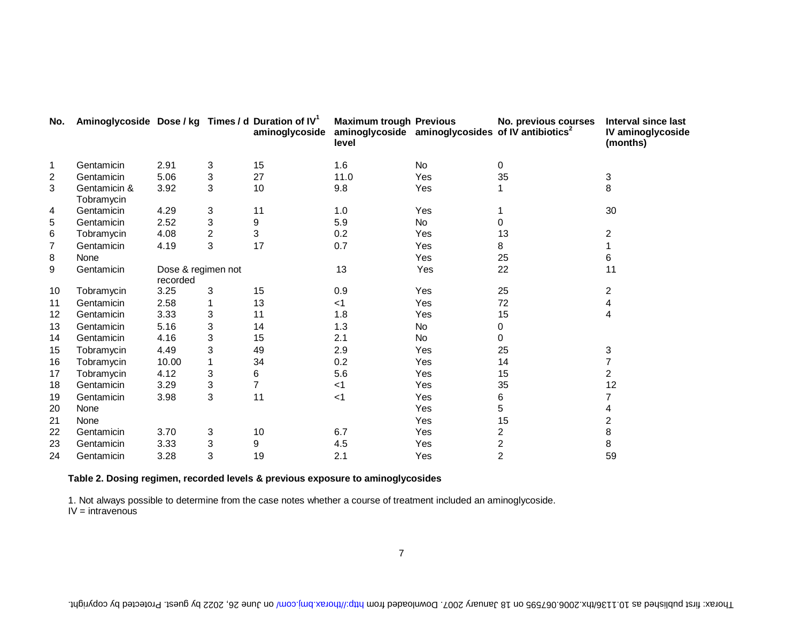| No.            | Aminoglycoside Dose / kg Times / d Duration of $IV1$ |                                |   | aminoglycoside | <b>Maximum trough Previous</b><br>level | aminoglycoside aminoglycosides of IV antibiotics <sup>2</sup> | No. previous courses | Interval since last<br>IV aminoglycoside<br>(months) |
|----------------|------------------------------------------------------|--------------------------------|---|----------------|-----------------------------------------|---------------------------------------------------------------|----------------------|------------------------------------------------------|
| $\mathbf{1}$   | Gentamicin                                           | 2.91                           | 3 | 15             | 1.6                                     | No                                                            | 0                    |                                                      |
| 2              | Gentamicin                                           | 5.06                           | 3 | 27             | 11.0                                    | Yes                                                           | 35                   | 3                                                    |
| 3              | Gentamicin &<br>Tobramycin                           | 3.92                           | 3 | 10             | 9.8                                     | Yes                                                           |                      | 8                                                    |
| 4              | Gentamicin                                           | 4.29                           | 3 | 11             | 1.0                                     | Yes                                                           |                      | 30                                                   |
| 5              | Gentamicin                                           | 2.52                           | 3 | 9              | 5.9                                     | No                                                            | 0                    |                                                      |
| 6              | Tobramycin                                           | 4.08                           | 2 | 3              | 0.2                                     | Yes                                                           | 13                   | 2                                                    |
| $\overline{7}$ | Gentamicin                                           | 4.19                           | 3 | 17             | 0.7                                     | Yes                                                           | 8                    | 1                                                    |
| 8              | None                                                 |                                |   |                |                                         | Yes                                                           | 25                   | 6                                                    |
| 9              | Gentamicin                                           | Dose & regimen not<br>recorded |   |                | 13                                      | Yes                                                           | 22                   | 11                                                   |
| 10             | Tobramycin                                           | 3.25                           | 3 | 15             | 0.9                                     | Yes                                                           | 25                   | $\overline{c}$                                       |
| 11             | Gentamicin                                           | 2.58                           |   | 13             | $<$ 1                                   | Yes                                                           | 72                   | 4                                                    |
| 12             | Gentamicin                                           | 3.33                           | 3 | 11             | 1.8                                     | Yes                                                           | 15                   | 4                                                    |
| 13             | Gentamicin                                           | 5.16                           | 3 | 14             | 1.3                                     | No                                                            | 0                    |                                                      |
| 14             | Gentamicin                                           | 4.16                           | 3 | 15             | 2.1                                     | No                                                            | 0                    |                                                      |
| 15             | Tobramycin                                           | 4.49                           | 3 | 49             | 2.9                                     | Yes                                                           | 25                   | 3                                                    |
| 16             | Tobramycin                                           | 10.00                          | 1 | 34             | 0.2                                     | Yes                                                           | 14                   | 7                                                    |
| 17             | Tobramycin                                           | 4.12                           | 3 | 6              | 5.6                                     | Yes                                                           | 15                   | $\overline{2}$                                       |
| 18             | Gentamicin                                           | 3.29                           | 3 | $\overline{7}$ | $<$ 1                                   | Yes                                                           | 35                   | 12                                                   |
| 19             | Gentamicin                                           | 3.98                           | 3 | 11             | $<$ 1                                   | Yes                                                           | 6                    |                                                      |
| 20             | None                                                 |                                |   |                |                                         | Yes                                                           | 5                    | 4                                                    |
| 21             | None                                                 |                                |   |                |                                         | Yes                                                           | 15                   | 2                                                    |
| 22             | Gentamicin                                           | 3.70                           | 3 | 10             | 6.7                                     | Yes                                                           | 2                    | 8                                                    |
| 23             | Gentamicin                                           | 3.33                           | 3 | 9              | 4.5                                     | Yes                                                           | 2                    | 8                                                    |
| 24             | Gentamicin                                           | 3.28                           | 3 | 19             | 2.1                                     | Yes                                                           | $\overline{c}$       | 59                                                   |

# **Table 2. Dosing regimen, recorded levels & previous exposure to aminoglycosides**

1. Not always possible to determine from the case notes whether a course of treatment included an aminoglycoside.

IV = intravenous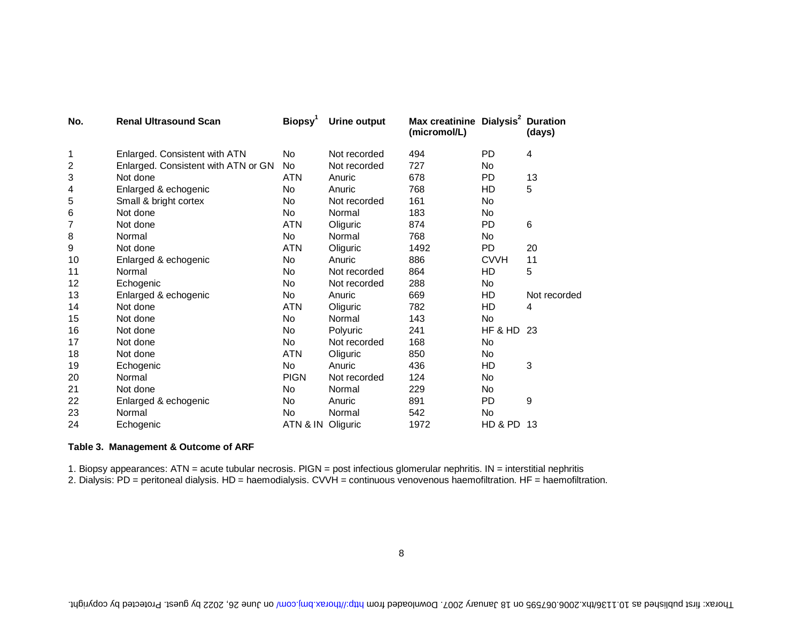| No.              | <b>Renal Ultrasound Scan</b>        | <b>Biopsy'</b>    | Urine output | Max creatinine Dialysis <sup>2</sup> Duration<br>(micromol/L) |             | (days)       |
|------------------|-------------------------------------|-------------------|--------------|---------------------------------------------------------------|-------------|--------------|
| 1                | Enlarged. Consistent with ATN       | N <sub>o</sub>    | Not recorded | 494                                                           | <b>PD</b>   | 4            |
| 2                | Enlarged. Consistent with ATN or GN | <b>No</b>         | Not recorded | 727                                                           | <b>No</b>   |              |
| 3                | Not done                            | <b>ATN</b>        | Anuric       | 678                                                           | <b>PD</b>   | 13           |
| 4                | Enlarged & echogenic                | <b>No</b>         | Anuric       | 768                                                           | HD          | 5            |
| 5                | Small & bright cortex               | No.               | Not recorded | 161                                                           | No          |              |
| 6                | Not done                            | No.               | Normal       | 183                                                           | No.         |              |
| 7                | Not done                            | <b>ATN</b>        | Oliguric     | 874                                                           | <b>PD</b>   | 6            |
| 8                | Normal                              | N <sub>o</sub>    | Normal       | 768                                                           | <b>No</b>   |              |
| $\boldsymbol{9}$ | Not done                            | <b>ATN</b>        | Oliguric     | 1492                                                          | <b>PD</b>   | 20           |
| 10               | Enlarged & echogenic                | No                | Anuric       | 886                                                           | <b>CVVH</b> | 11           |
| 11               | Normal                              | No                | Not recorded | 864                                                           | HD          | 5            |
| 12               | Echogenic                           | <b>No</b>         | Not recorded | 288                                                           | <b>No</b>   |              |
| 13               | Enlarged & echogenic                | <b>No</b>         | Anuric       | 669                                                           | HD          | Not recorded |
| 14               | Not done                            | <b>ATN</b>        | Oliguric     | 782                                                           | HD          | 4            |
| 15               | Not done                            | <b>No</b>         | Normal       | 143                                                           | <b>No</b>   |              |
| 16               | Not done                            | <b>No</b>         | Polyuric     | 241                                                           | HF & HD     | 23           |
| 17               | Not done                            | <b>No</b>         | Not recorded | 168                                                           | <b>No</b>   |              |
| 18               | Not done                            | <b>ATN</b>        | Oliguric     | 850                                                           | <b>No</b>   |              |
| 19               | Echogenic                           | <b>No</b>         | Anuric       | 436                                                           | HD          | 3            |
| 20               | Normal                              | <b>PIGN</b>       | Not recorded | 124                                                           | <b>No</b>   |              |
| 21               | Not done                            | No                | Normal       | 229                                                           | <b>No</b>   |              |
| 22               | Enlarged & echogenic                | No.               | Anuric       | 891                                                           | <b>PD</b>   | 9            |
| 23               | Normal                              | No                | Normal       | 542                                                           | No          |              |
| 24               | Echogenic                           | ATN & IN Oliguric |              | 1972                                                          | HD & PD     | -13          |

# **Table 3. Management & Outcome of ARF**

1. Biopsy appearances: ATN = acute tubular necrosis. PIGN = post infectious glomerular nephritis. IN = interstitial nephritis

2. Dialysis: PD = peritoneal dialysis. HD = haemodialysis. CVVH = continuous venovenous haemofiltration. HF = haemofiltration.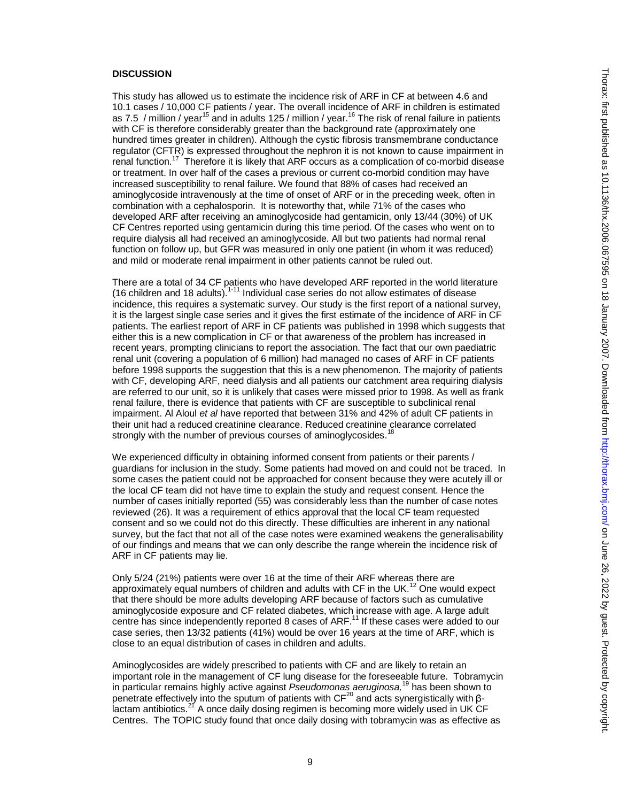### **DISCUSSION**

This study has allowed us to estimate the incidence risk of ARF in CF at between 4.6 and 10.1 cases / 10,000 CF patients / year. The overall incidence of ARF in children is estimated as 7.5 / million / year<sup>15</sup> and in adults 125 / million / year.<sup>16</sup> The risk of renal failure in patients with CF is therefore considerably greater than the background rate (approximately one hundred times greater in children). Although the cystic fibrosis transmembrane conductance regulator (CFTR) is expressed throughout the nephron it is not known to cause impairment in renal function.<sup>17</sup> Therefore it is likely that ARF occurs as a complication of co-morbid disease or treatment. In over half of the cases a previous or current co-morbid condition may have increased susceptibility to renal failure. We found that 88% of cases had received an aminoglycoside intravenously at the time of onset of ARF or in the preceding week, often in combination with a cephalosporin. It is noteworthy that, while 71% of the cases who developed ARF after receiving an aminoglycoside had gentamicin, only 13/44 (30%) of UK CF Centres reported using gentamicin during this time period. Of the cases who went on to require dialysis all had received an aminoglycoside. All but two patients had normal renal function on follow up, but GFR was measured in only one patient (in whom it was reduced) and mild or moderate renal impairment in other patients cannot be ruled out.

There are a total of 34 CF patients who have developed ARF reported in the world literature (16 children and 18 adults).<sup>1-11</sup> Individual case series do not allow estimates of disease incidence, this requires a systematic survey. Our study is the first report of a national survey, it is the largest single case series and it gives the first estimate of the incidence of ARF in CF patients. The earliest report of ARF in CF patients was published in 1998 which suggests that either this is a new complication in CF or that awareness of the problem has increased in recent years, prompting clinicians to report the association. The fact that our own paediatric renal unit (covering a population of 6 million) had managed no cases of ARF in CF patients before 1998 supports the suggestion that this is a new phenomenon. The majority of patients with CF, developing ARF, need dialysis and all patients our catchment area requiring dialysis are referred to our unit, so it is unlikely that cases were missed prior to 1998. As well as frank renal failure, there is evidence that patients with CF are susceptible to subclinical renal impairment. Al Aloul *et al* have reported that between 31% and 42% of adult CF patients in their unit had a reduced creatinine clearance. Reduced creatinine clearance correlated strongly with the number of previous courses of aminoglycosides.<sup>1</sup>

We experienced difficulty in obtaining informed consent from patients or their parents / guardians for inclusion in the study. Some patients had moved on and could not be traced. In some cases the patient could not be approached for consent because they were acutely ill or the local CF team did not have time to explain the study and request consent. Hence the number of cases initially reported (55) was considerably less than the number of case notes reviewed (26). It was a requirement of ethics approval that the local CF team requested consent and so we could not do this directly. These difficulties are inherent in any national survey, but the fact that not all of the case notes were examined weakens the generalisability of our findings and means that we can only describe the range wherein the incidence risk of ARF in CF patients may lie.

Only 5/24 (21%) patients were over 16 at the time of their ARF whereas there are approximately equal numbers of children and adults with CF in the UK.<sup>12</sup> One would expect that there should be more adults developing ARF because of factors such as cumulative aminoglycoside exposure and CF related diabetes, which increase with age. A large adult centre has since independently reported 8 cases of ARF.<sup>11</sup> If these cases were added to our case series, then 13/32 patients (41%) would be over 16 years at the time of ARF, which is close to an equal distribution of cases in children and adults.

Aminoglycosides are widely prescribed to patients with CF and are likely to retain an important role in the management of CF lung disease for the foreseeable future. Tobramycin in particular remains highly active against *Pseudomonas aeruginosa,*19 has been shown to penetrate effectively into the sputum of patients with  $CF<sup>20</sup>$  and acts synergistically with β- $\frac{1}{2}$  actam antibiotics.<sup>21</sup> A once daily dosing regimen is becoming more widely used in UK CF Centres. The TOPIC study found that once daily dosing with tobramycin was as effective as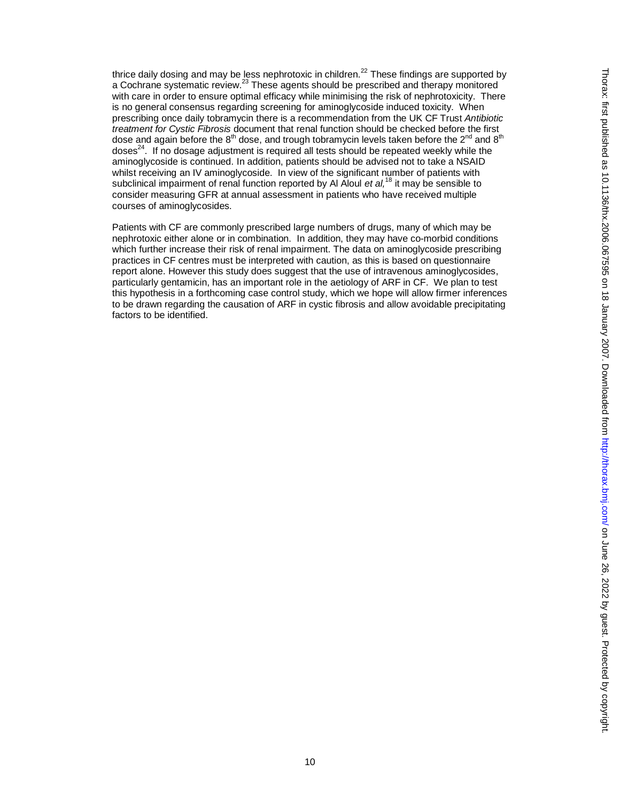thrice daily dosing and may be less nephrotoxic in children.<sup>22</sup> These findings are supported by a Cochrane systematic review.<sup>23</sup> These agents should be prescribed and therapy monitored with care in order to ensure optimal efficacy while minimising the risk of nephrotoxicity. There is no general consensus regarding screening for aminoglycoside induced toxicity. When prescribing once daily tobramycin there is a recommendation from the UK CF Trust *Antibiotic treatment for Cystic Fibrosis* document that renal function should be checked before the first dose and again before the  $8<sup>th</sup>$  dose, and trough tobramycin levels taken before the  $2<sup>nd</sup>$  and  $8<sup>th</sup>$  $dose<sup>24</sup>$ . If no dosage adjustment is required all tests should be repeated weekly while the aminoglycoside is continued. In addition, patients should be advised not to take a NSAID whilst receiving an IV aminoglycoside. In view of the significant number of patients with subclinical impairment of renal function reported by Al Aloul *et al*,<sup>18</sup> it may be sensible to consider measuring GFR at annual assessment in patients who have received multiple courses of aminoglycosides.

Patients with CF are commonly prescribed large numbers of drugs, many of which may be nephrotoxic either alone or in combination. In addition, they may have co-morbid conditions which further increase their risk of renal impairment. The data on aminoglycoside prescribing practices in CF centres must be interpreted with caution, as this is based on questionnaire report alone. However this study does suggest that the use of intravenous aminoglycosides, particularly gentamicin, has an important role in the aetiology of ARF in CF. We plan to test this hypothesis in a forthcoming case control study, which we hope will allow firmer inferences to be drawn regarding the causation of ARF in cystic fibrosis and allow avoidable precipitating factors to be identified.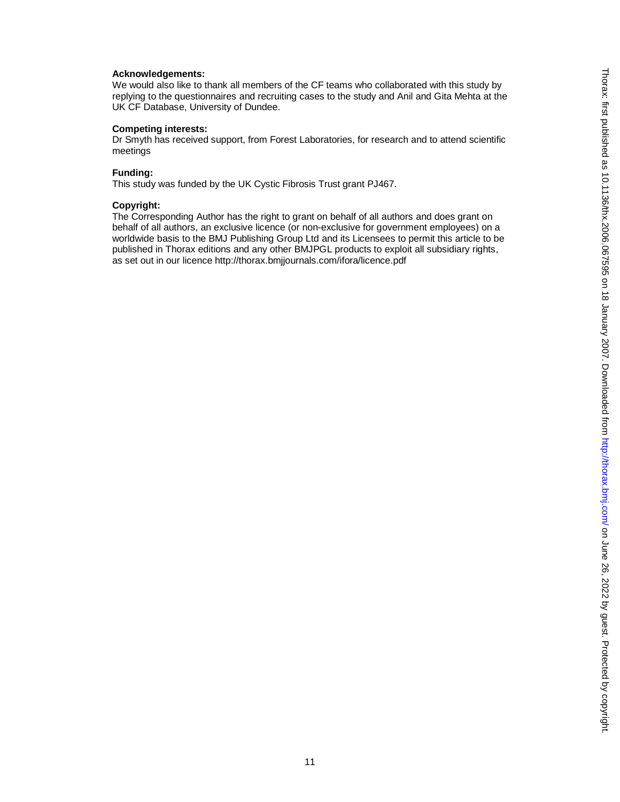### **Acknowledgements:**

We would also like to thank all members of the CF teams who collaborated with this study by replying to the questionnaires and recruiting cases to the study and Anil and Gita Mehta at the UK CF Database, University of Dundee.

### **Competing interests:**

Dr Smyth has received support, from Forest Laboratories, for research and to attend scientific meetings

# **Funding:**

This study was funded by the UK Cystic Fibrosis Trust grant PJ467.

### **Copyright:**

The Corresponding Author has the right to grant on behalf of all authors and does grant on behalf of all authors, an exclusive licence (or non-exclusive for government employees) on a worldwide basis to the BMJ Publishing Group Ltd and its Licensees to permit this article to be published in Thorax editions and any other BMJPGL products to exploit all subsidiary rights, as set out in our licence http://thorax.bmjjournals.com/ifora/licence.pdf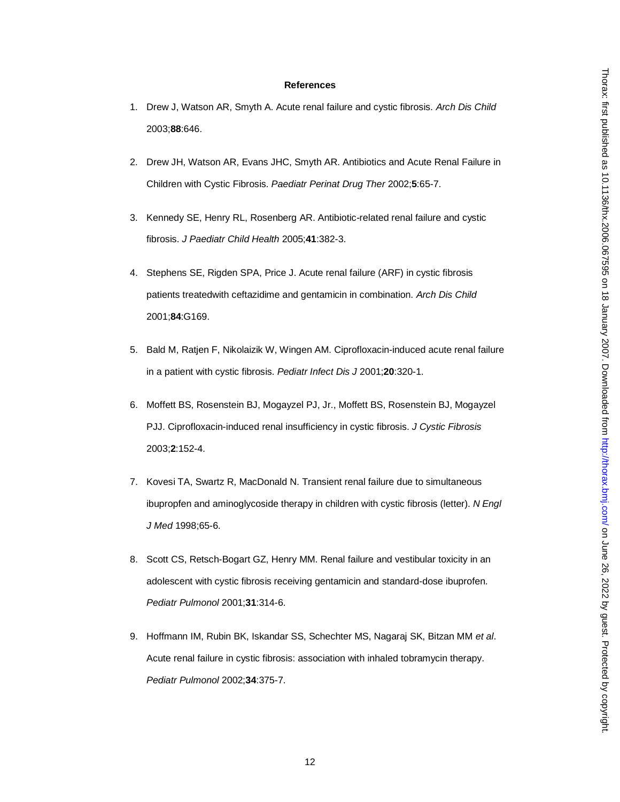#### **References**

- 1. Drew J, Watson AR, Smyth A. Acute renal failure and cystic fibrosis. *Arch Dis Child* 2003;**88**:646.
- 2. Drew JH, Watson AR, Evans JHC, Smyth AR. Antibiotics and Acute Renal Failure in Children with Cystic Fibrosis. *Paediatr Perinat Drug Ther* 2002;**5**:65-7.
- 3. Kennedy SE, Henry RL, Rosenberg AR. Antibiotic-related renal failure and cystic fibrosis. *J Paediatr Child Health* 2005;**41**:382-3.
- 4. Stephens SE, Rigden SPA, Price J. Acute renal failure (ARF) in cystic fibrosis patients treatedwith ceftazidime and gentamicin in combination. *Arch Dis Child* 2001;**84**:G169.
- 5. Bald M, Ratjen F, Nikolaizik W, Wingen AM. Ciprofloxacin-induced acute renal failure in a patient with cystic fibrosis. *Pediatr Infect Dis J* 2001;**20**:320-1.
- 6. Moffett BS, Rosenstein BJ, Mogayzel PJ, Jr., Moffett BS, Rosenstein BJ, Mogayzel PJJ. Ciprofloxacin-induced renal insufficiency in cystic fibrosis. *J Cystic Fibrosis* 2003;**2**:152-4.
- 7. Kovesi TA, Swartz R, MacDonald N. Transient renal failure due to simultaneous ibupropfen and aminoglycoside therapy in children with cystic fibrosis (letter). *N Engl J Med* 1998;65-6.
- 8. Scott CS, Retsch-Bogart GZ, Henry MM. Renal failure and vestibular toxicity in an adolescent with cystic fibrosis receiving gentamicin and standard-dose ibuprofen. *Pediatr Pulmonol* 2001;**31**:314-6.
- 9. Hoffmann IM, Rubin BK, Iskandar SS, Schechter MS, Nagaraj SK, Bitzan MM *et al*. Acute renal failure in cystic fibrosis: association with inhaled tobramycin therapy. *Pediatr Pulmonol* 2002;**34**:375-7.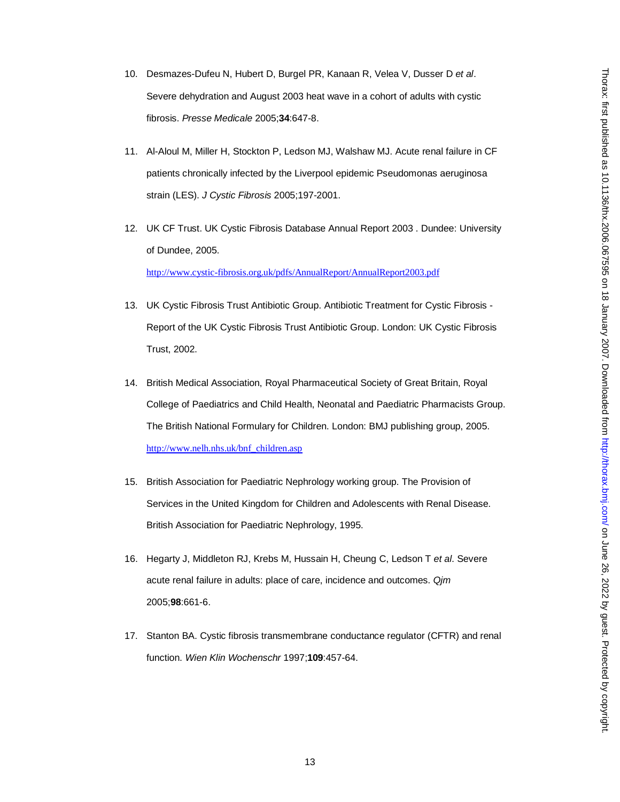- 10. Desmazes-Dufeu N, Hubert D, Burgel PR, Kanaan R, Velea V, Dusser D *et al*. Severe dehydration and August 2003 heat wave in a cohort of adults with cystic fibrosis. *Presse Medicale* 2005;**34**:647-8.
- 11. Al-Aloul M, Miller H, Stockton P, Ledson MJ, Walshaw MJ. Acute renal failure in CF patients chronically infected by the Liverpool epidemic Pseudomonas aeruginosa strain (LES). *J Cystic Fibrosis* 2005;197-2001.
- 12. UK CF Trust. UK Cystic Fibrosis Database Annual Report 2003 . Dundee: University of Dundee, 2005.

http://www.cystic-fibrosis.org.uk/pdfs/AnnualReport/AnnualReport2003.pdf

- 13. UK Cystic Fibrosis Trust Antibiotic Group. Antibiotic Treatment for Cystic Fibrosis Report of the UK Cystic Fibrosis Trust Antibiotic Group. London: UK Cystic Fibrosis Trust, 2002.
- 14. British Medical Association, Royal Pharmaceutical Society of Great Britain, Royal College of Paediatrics and Child Health, Neonatal and Paediatric Pharmacists Group. The British National Formulary for Children. London: BMJ publishing group, 2005. http://www.nelh.nhs.uk/bnf\_children.asp
- 15. British Association for Paediatric Nephrology working group. The Provision of Services in the United Kingdom for Children and Adolescents with Renal Disease. British Association for Paediatric Nephrology, 1995.
- 16. Hegarty J, Middleton RJ, Krebs M, Hussain H, Cheung C, Ledson T *et al*. Severe acute renal failure in adults: place of care, incidence and outcomes. *Qjm* 2005;**98**:661-6.
- 17. Stanton BA. Cystic fibrosis transmembrane conductance regulator (CFTR) and renal function. *Wien Klin Wochenschr* 1997;**109**:457-64.